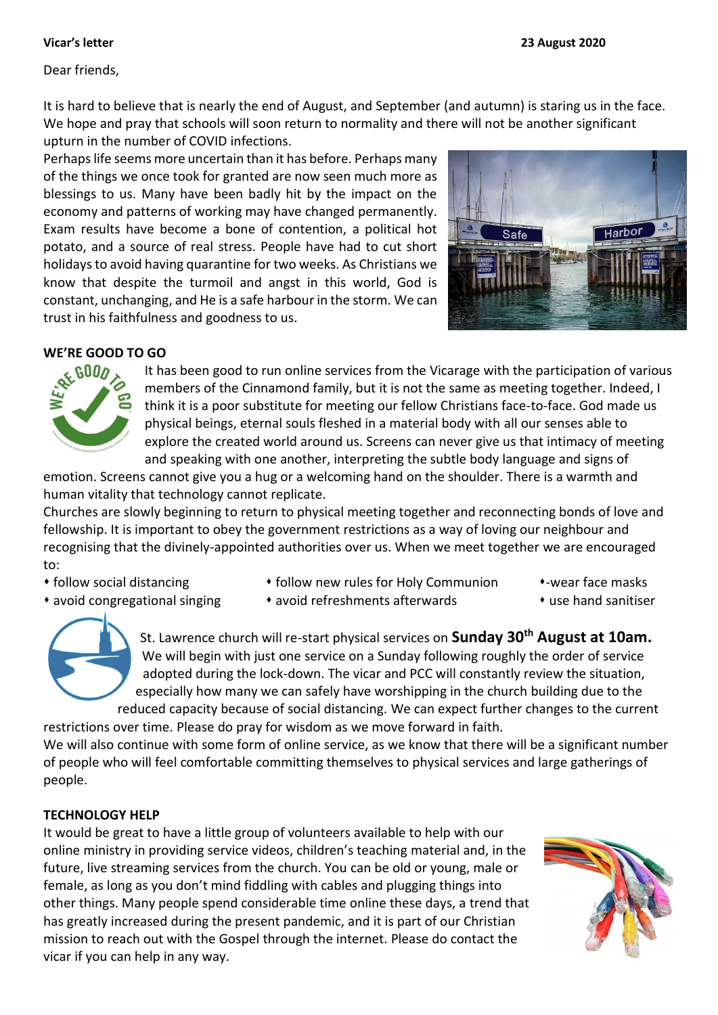Dear friends,

It is hard to believe that is nearly the end of August, and September (and autumn) is staring us in the face. We hope and pray that schools will soon return to normality and there will not be another significant upturn in the number of COVID infections.

Perhaps life seems more uncertain than it has before. Perhaps many of the things we once took for granted are now seen much more as blessings to us. Many have been badly hit by the impact on the economy and patterns of working may have changed permanently. Exam results have become a bone of contention, a political hot potato, and a source of real stress. People have had to cut short holidays to avoid having quarantine for two weeks. As Christians we know that despite the turmoil and angst in this world, God is constant, unchanging, and He is a safe harbour in the storm. We can trust in his faithfulness and goodness to us.



# **WE'RE GOOD TO GO**



It has been good to run online services from the Vicarage with the participation of various members of the Cinnamond family, but it is not the same as meeting together. Indeed, I think it is a poor substitute for meeting our fellow Christians face-to-face. God made us physical beings, eternal souls fleshed in a material body with all our senses able to explore the created world around us. Screens can never give us that intimacy of meeting and speaking with one another, interpreting the subtle body language and signs of

emotion. Screens cannot give you a hug or a welcoming hand on the shoulder. There is a warmth and human vitality that technology cannot replicate.

Churches are slowly beginning to return to physical meeting together and reconnecting bonds of love and fellowship. It is important to obey the government restrictions as a way of loving our neighbour and recognising that the divinely-appointed authorities over us. When we meet together we are encouraged to:

- 
- avoid congregational singing avoid refreshments afterwards use hand sanitiser
- follow social distancing **follow new rules for Holy Communion** wear face masks
	-
	-

St. Lawrence church will re-start physical services on **Sunday 30th August at 10am.** We will begin with just one service on a Sunday following roughly the order of service adopted during the lock-down. The vicar and PCC will constantly review the situation, especially how many we can safely have worshipping in the church building due to the reduced capacity because of social distancing. We can expect further changes to the current

restrictions over time. Please do pray for wisdom as we move forward in faith. We will also continue with some form of online service, as we know that there will be a significant number of people who will feel comfortable committing themselves to physical services and large gatherings of people.

## **TECHNOLOGY HELP**

It would be great to have a little group of volunteers available to help with our online ministry in providing service videos, children's teaching material and, in the future, live streaming services from the church. You can be old or young, male or female, as long as you don't mind fiddling with cables and plugging things into other things. Many people spend considerable time online these days, a trend that has greatly increased during the present pandemic, and it is part of our Christian mission to reach out with the Gospel through the internet. Please do contact the vicar if you can help in any way.